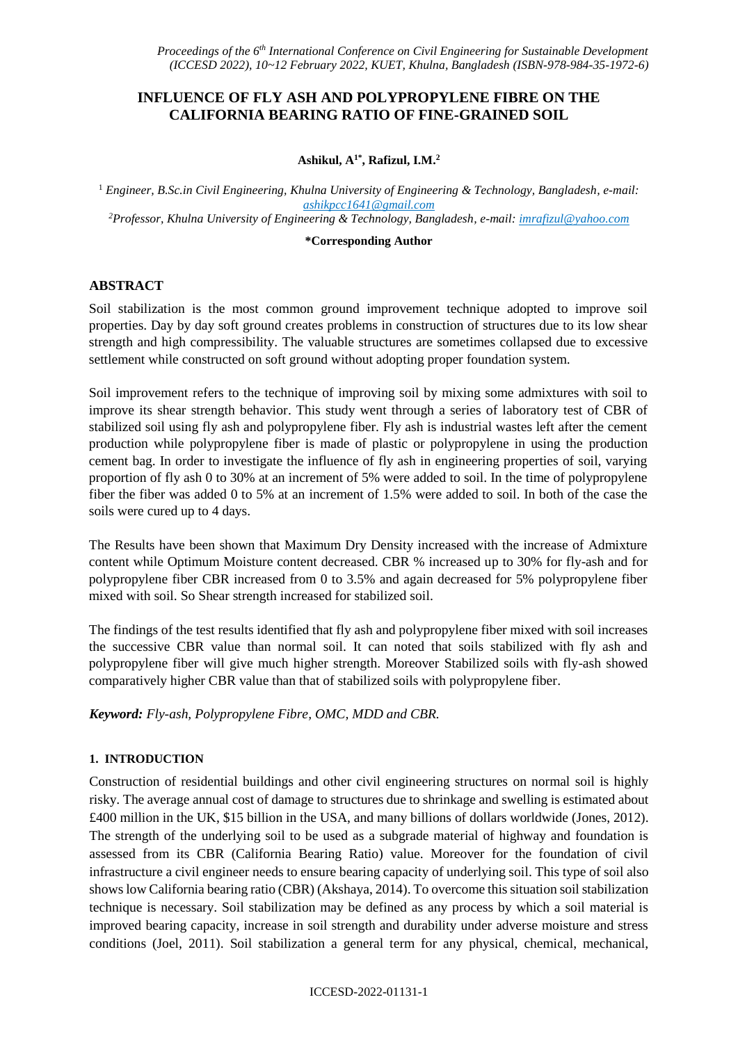# **INFLUENCE OF FLY ASH AND POLYPROPYLENE FIBRE ON THE CALIFORNIA BEARING RATIO OF FINE-GRAINED SOIL**

#### **Ashikul, A1\* , Rafizul, I.M.<sup>2</sup>**

<sup>1</sup> *Engineer, B.Sc.in Civil Engineering, Khulna University of Engineering & Technology, Bangladesh, e-mail: [ashikpcc1641@gmail.com](mailto:ashikpcc1641@gmail.com) <sup>2</sup>Professor, Khulna University of Engineering & Technology, Bangladesh, e-mail[: imrafizul@yahoo.com](mailto:imrafizul@yahoo.com)*

#### **\*Corresponding Author**

## **ABSTRACT**

Soil stabilization is the most common ground improvement technique adopted to improve soil properties. Day by day soft ground creates problems in construction of structures due to its low shear strength and high compressibility. The valuable structures are sometimes collapsed due to excessive settlement while constructed on soft ground without adopting proper foundation system.

Soil improvement refers to the technique of improving soil by mixing some admixtures with soil to improve its shear strength behavior. This study went through a series of laboratory test of CBR of stabilized soil using fly ash and polypropylene fiber. Fly ash is industrial wastes left after the cement production while polypropylene fiber is made of plastic or polypropylene in using the production cement bag. In order to investigate the influence of fly ash in engineering properties of soil, varying proportion of fly ash 0 to 30% at an increment of 5% were added to soil. In the time of polypropylene fiber the fiber was added 0 to 5% at an increment of 1.5% were added to soil. In both of the case the soils were cured up to 4 days.

The Results have been shown that Maximum Dry Density increased with the increase of Admixture content while Optimum Moisture content decreased. CBR % increased up to 30% for fly-ash and for polypropylene fiber CBR increased from 0 to 3.5% and again decreased for 5% polypropylene fiber mixed with soil. So Shear strength increased for stabilized soil.

The findings of the test results identified that fly ash and polypropylene fiber mixed with soil increases the successive CBR value than normal soil. It can noted that soils stabilized with fly ash and polypropylene fiber will give much higher strength. Moreover Stabilized soils with fly-ash showed comparatively higher CBR value than that of stabilized soils with polypropylene fiber.

*Keyword: Fly-ash, Polypropylene Fibre, OMC, MDD and CBR.*

## **1. INTRODUCTION**

Construction of residential buildings and other civil engineering structures on normal soil is highly risky. The average annual cost of damage to structures due to shrinkage and swelling is estimated about £400 million in the UK, \$15 billion in the USA, and many billions of dollars worldwide (Jones, 2012). The strength of the underlying soil to be used as a subgrade material of highway and foundation is assessed from its CBR (California Bearing Ratio) value. Moreover for the foundation of civil infrastructure a civil engineer needs to ensure bearing capacity of underlying soil. This type of soil also shows low California bearing ratio (CBR) (Akshaya, 2014). To overcome this situation soil stabilization technique is necessary. Soil stabilization may be defined as any process by which a soil material is improved bearing capacity, increase in soil strength and durability under adverse moisture and stress conditions (Joel, 2011). Soil stabilization a general term for any physical, chemical, mechanical,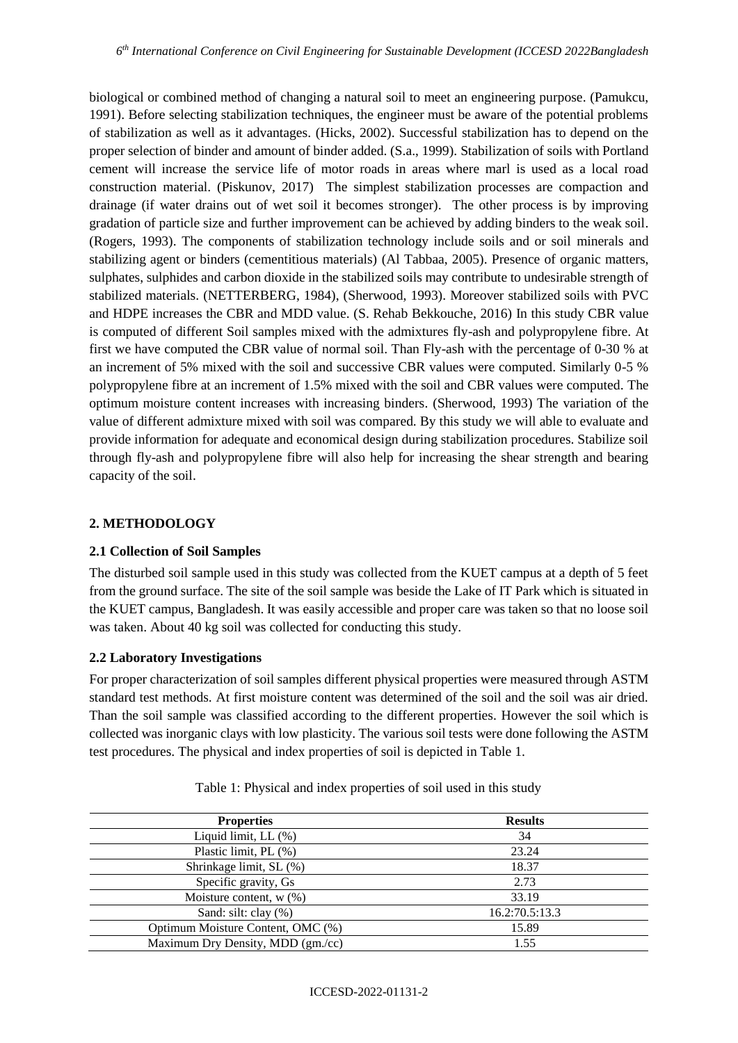biological or combined method of changing a natural [soil](https://en.wikipedia.org/wiki/Soil) to meet an engineering purpose. (Pamukcu, 1991). Before selecting stabilization techniques, the engineer must be aware of the potential problems of stabilization as well as it advantages. (Hicks, 2002). Successful stabilization has to depend on the proper selection of binder and amount of binder added. (S.a., 1999). Stabilization of soils with Portland cement will increase the service life of motor roads in areas where marl is used as a local road construction material. (Piskunov, 2017) The simplest stabilization processes are compaction and drainage (if water drains out of wet soil it becomes stronger). The other process is by improving gradation of particle size and further improvement can be achieved by adding binders to the weak soil. (Rogers, 1993). The components of stabilization technology include soils and or soil minerals and stabilizing agent or binders (cementitious materials) (Al Tabbaa, 2005). Presence of organic matters, sulphates, sulphides and carbon dioxide in the stabilized soils may contribute to undesirable strength of stabilized materials. (NETTERBERG, 1984), (Sherwood, 1993). Moreover stabilized soils with PVC and HDPE increases the CBR and MDD value. (S. Rehab Bekkouche, 2016) In this study CBR value is computed of different Soil samples mixed with the admixtures fly-ash and polypropylene fibre. At first we have computed the CBR value of normal soil. Than Fly-ash with the percentage of 0-30 % at an increment of 5% mixed with the soil and successive CBR values were computed. Similarly 0-5 % polypropylene fibre at an increment of 1.5% mixed with the soil and CBR values were computed. The optimum moisture content increases with increasing binders. (Sherwood, 1993) The variation of the value of different admixture mixed with soil was compared. By this study we will able to evaluate and provide information for adequate and economical design during stabilization procedures. Stabilize soil through fly-ash and polypropylene fibre will also help for increasing the shear strength and bearing capacity of the soil.

# **2. METHODOLOGY**

## **2.1 Collection of Soil Samples**

The disturbed soil sample used in this study was collected from the KUET campus at a depth of 5 feet from the ground surface. The site of the soil sample was beside the Lake of IT Park which is situated in the KUET campus, Bangladesh. It was easily accessible and proper care was taken so that no loose soil was taken. About 40 kg soil was collected for conducting this study.

# **2.2 Laboratory Investigations**

For proper characterization of soil samples different physical properties were measured through ASTM standard test methods. At first moisture content was determined of the soil and the soil was air dried. Than the soil sample was classified according to the different properties. However the soil which is collected was inorganic clays with low plasticity. The various soil tests were done following the ASTM test procedures. The physical and index properties of soil is depicted in Table 1.

| <b>Properties</b>                 | <b>Results</b> |
|-----------------------------------|----------------|
| Liquid limit, LL (%)              | 34             |
| Plastic limit, PL (%)             | 23.24          |
| Shrinkage limit, SL (%)           | 18.37          |
| Specific gravity, Gs              | 2.73           |
| Moisture content, $w(\%)$         | 33.19          |
| Sand: silt: clay (%)              | 16.2:70.5:13.3 |
| Optimum Moisture Content, OMC (%) | 15.89          |
| Maximum Dry Density, MDD (gm./cc) | 1.55           |

Table 1: Physical and index properties of soil used in this study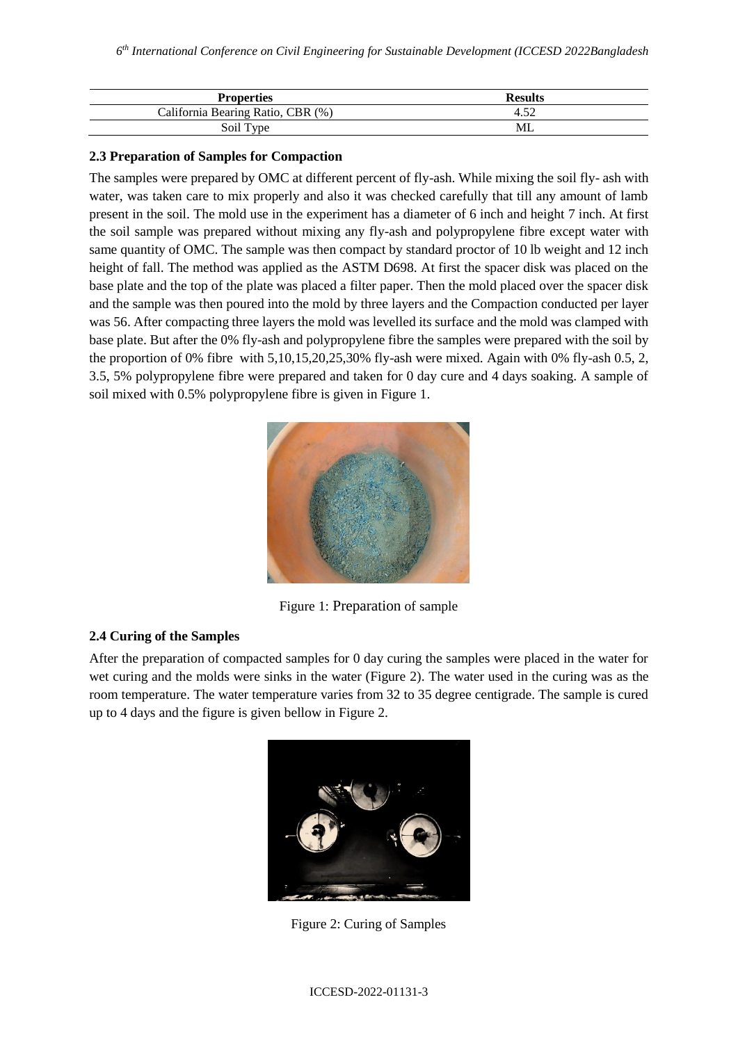| <b>Properties</b>                 | <b>Results</b> |
|-----------------------------------|----------------|
| California Bearing Ratio, CBR (%) | 4.52           |
| Soil Type                         | ML             |

# **2.3 Preparation of Samples for Compaction**

The samples were prepared by OMC at different percent of fly-ash. While mixing the soil fly- ash with water, was taken care to mix properly and also it was checked carefully that till any amount of lamb present in the soil. The mold use in the experiment has a diameter of 6 inch and height 7 inch. At first the soil sample was prepared without mixing any fly-ash and polypropylene fibre except water with same quantity of OMC. The sample was then compact by standard proctor of 10 lb weight and 12 inch height of fall. The method was applied as the ASTM D698. At first the spacer disk was placed on the base plate and the top of the plate was placed a filter paper. Then the mold placed over the spacer disk and the sample was then poured into the mold by three layers and the Compaction conducted per layer was 56. After compacting three layers the mold was levelled its surface and the mold was clamped with base plate. But after the 0% fly-ash and polypropylene fibre the samples were prepared with the soil by the proportion of 0% fibre with 5,10,15,20,25,30% fly-ash were mixed. Again with 0% fly-ash 0.5, 2, 3.5, 5% polypropylene fibre were prepared and taken for 0 day cure and 4 days soaking. A sample of soil mixed with 0.5% polypropylene fibre is given in Figure 1.



Figure 1: Preparation of sample

# **2.4 Curing of the Samples**

After the preparation of compacted samples for 0 day curing the samples were placed in the water for wet curing and the molds were sinks in the water (Figure 2). The water used in the curing was as the room temperature. The water temperature varies from 32 to 35 degree centigrade. The sample is cured up to 4 days and the figure is given bellow in Figure 2.



Figure 2: Curing of Samples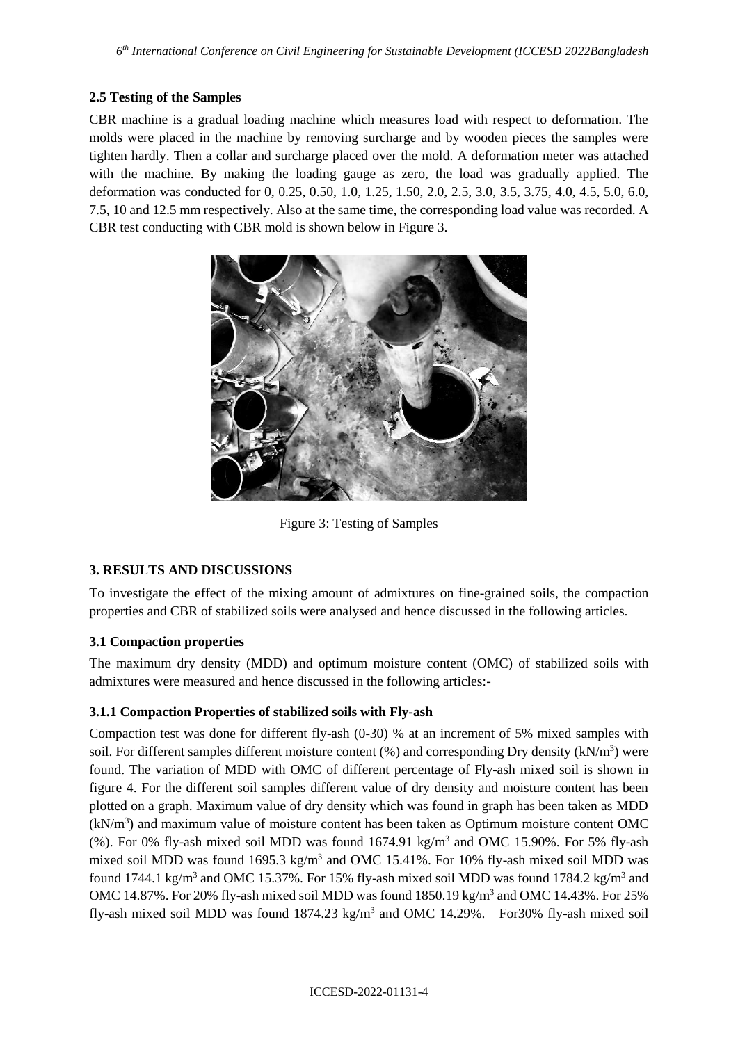# **2.5 Testing of the Samples**

CBR machine is a gradual loading machine which measures load with respect to deformation. The molds were placed in the machine by removing surcharge and by wooden pieces the samples were tighten hardly. Then a collar and surcharge placed over the mold. A deformation meter was attached with the machine. By making the loading gauge as zero, the load was gradually applied. The deformation was conducted for 0, 0.25, 0.50, 1.0, 1.25, 1.50, 2.0, 2.5, 3.0, 3.5, 3.75, 4.0, 4.5, 5.0, 6.0, 7.5, 10 and 12.5 mm respectively. Also at the same time, the corresponding load value was recorded. A CBR test conducting with CBR mold is shown below in Figure 3.



Figure 3: Testing of Samples

# **3. RESULTS AND DISCUSSIONS**

To investigate the effect of the mixing amount of admixtures on fine-grained soils, the compaction properties and CBR of stabilized soils were analysed and hence discussed in the following articles.

# **3.1 Compaction properties**

The maximum dry density (MDD) and optimum moisture content (OMC) of stabilized soils with admixtures were measured and hence discussed in the following articles:-

# **3.1.1 Compaction Properties of stabilized soils with Fly-ash**

Compaction test was done for different fly-ash (0-30) % at an increment of 5% mixed samples with soil. For different samples different moisture content (%) and corresponding Dry density (kN/m<sup>3</sup>) were found. The variation of MDD with OMC of different percentage of Fly-ash mixed soil is shown in figure 4. For the different soil samples different value of dry density and moisture content has been plotted on a graph. Maximum value of dry density which was found in graph has been taken as MDD  $(kN/m<sup>3</sup>)$  and maximum value of moisture content has been taken as Optimum moisture content OMC (%). For 0% fly-ash mixed soil MDD was found  $1674.91 \text{ kg/m}^3$  and OMC 15.90%. For 5% fly-ash mixed soil MDD was found  $1695.3$  kg/m<sup>3</sup> and OMC 15.41%. For 10% fly-ash mixed soil MDD was found 1744.1 kg/m<sup>3</sup> and OMC 15.37%. For 15% fly-ash mixed soil MDD was found 1784.2 kg/m<sup>3</sup> and OMC 14.87%. For 20% fly-ash mixed soil MDD was found 1850.19 kg/m<sup>3</sup> and OMC 14.43%. For 25% fly-ash mixed soil MDD was found  $1874.23$  kg/m<sup>3</sup> and OMC 14.29%. For 30% fly-ash mixed soil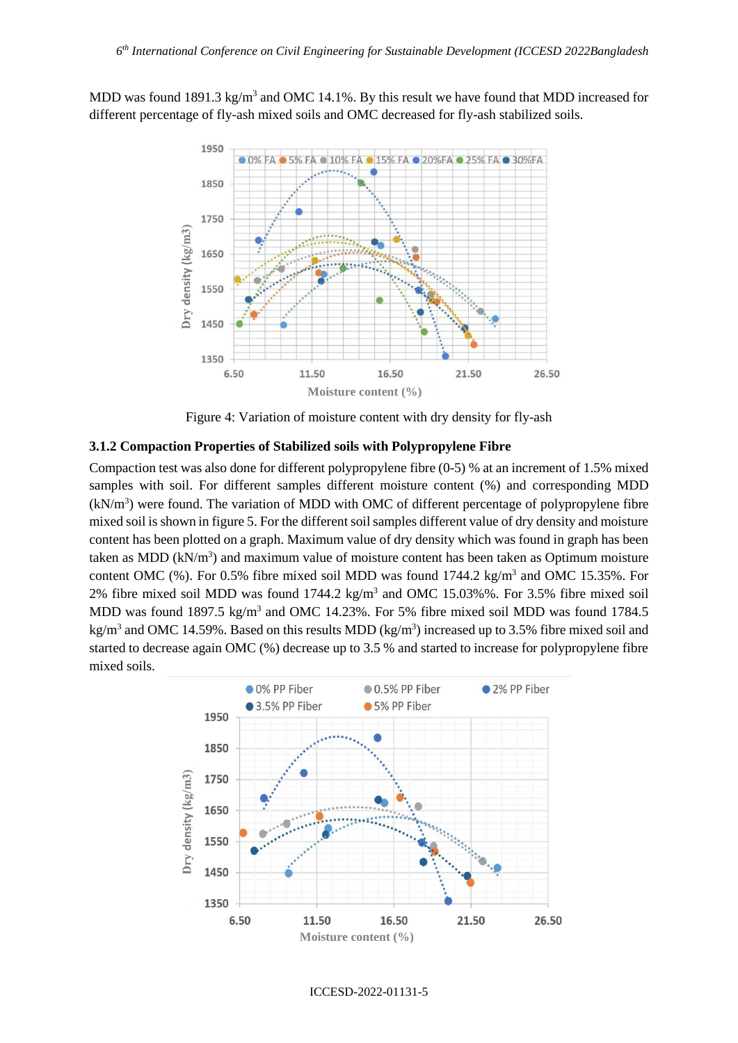MDD was found 1891.3 kg/m<sup>3</sup> and OMC 14.1%. By this result we have found that MDD increased for different percentage of fly-ash mixed soils and OMC decreased for fly-ash stabilized soils.



Figure 4: Variation of moisture content with dry density for fly-ash

#### **3.1.2 Compaction Properties of Stabilized soils with Polypropylene Fibre**

Compaction test was also done for different polypropylene fibre (0-5) % at an increment of 1.5% mixed samples with soil. For different samples different moisture content (%) and corresponding MDD  $(kN/m<sup>3</sup>)$  were found. The variation of MDD with OMC of different percentage of polypropylene fibre mixed soil is shown in figure 5. For the different soil samples different value of dry density and moisture content has been plotted on a graph. Maximum value of dry density which was found in graph has been taken as MDD  $(kN/m<sup>3</sup>)$  and maximum value of moisture content has been taken as Optimum moisture content OMC  $(\%)$ . For 0.5% fibre mixed soil MDD was found 1744.2 kg/m<sup>3</sup> and OMC 15.35%. For 2% fibre mixed soil MDD was found  $1744.2 \text{ kg/m}^3$  and OMC  $15.03\%$ %. For 3.5% fibre mixed soil MDD was found 1897.5 kg/m<sup>3</sup> and OMC 14.23%. For 5% fibre mixed soil MDD was found 1784.5 kg/m<sup>3</sup> and OMC 14.59%. Based on this results MDD (kg/m<sup>3</sup>) increased up to 3.5% fibre mixed soil and started to decrease again OMC (%) decrease up to 3.5 % and started to increase for polypropylene fibre mixed soils.



ICCESD-2022-01131-5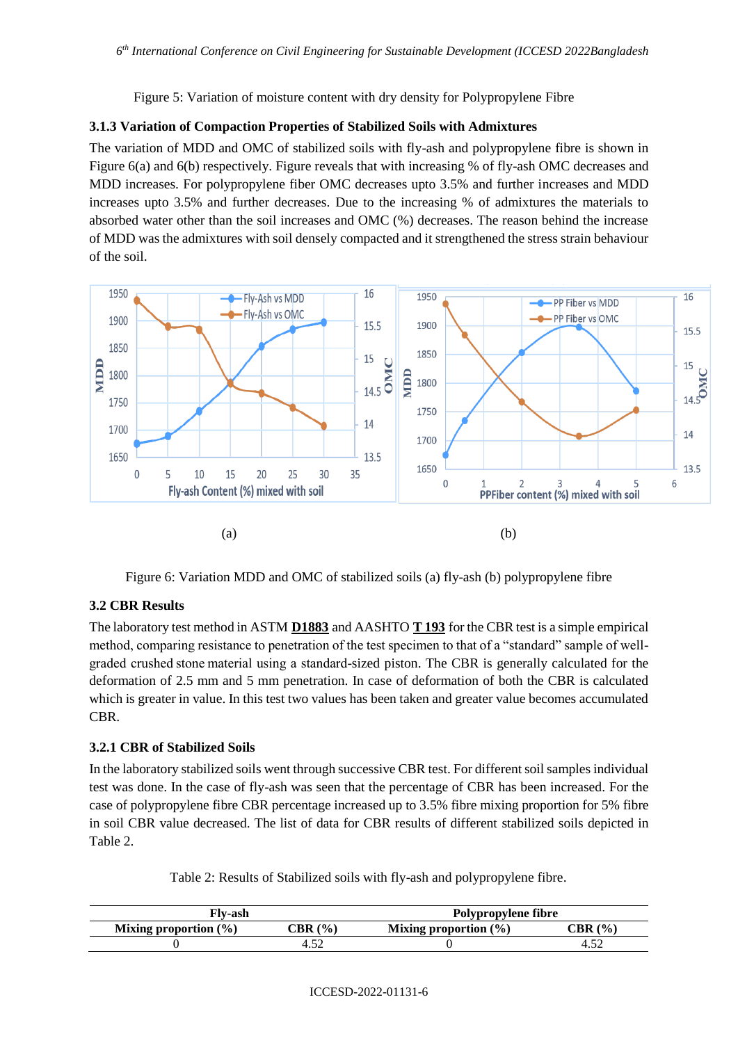Figure 5: Variation of moisture content with dry density for Polypropylene Fibre

# **3.1.3 Variation of Compaction Properties of Stabilized Soils with Admixtures**

The variation of MDD and OMC of stabilized soils with fly-ash and polypropylene fibre is shown in Figure 6(a) and 6(b) respectively. Figure reveals that with increasing % of fly-ash OMC decreases and MDD increases. For polypropylene fiber OMC decreases upto 3.5% and further increases and MDD increases upto 3.5% and further decreases. Due to the increasing % of admixtures the materials to absorbed water other than the soil increases and OMC (%) decreases. The reason behind the increase of MDD was the admixtures with soil densely compacted and it strengthened the stress strain behaviour of the soil.



Figure 6: Variation MDD and OMC of stabilized soils (a) fly-ash (b) polypropylene fibre

## **3.2 CBR Results**

The laboratory test method in ASTM **[D1883](https://www.astm.org/Standards/D1883)** and AASHTO **[T 193](https://store.transportation.org/(X(1)S(1s1fwhbttphqpzrvijsbksy5))/Item/PublicationDetail?ID=2117&AspxAutoDetectCookieSupport=1)** for the CBR test is a simple empirical method, comparing resistance to penetration of the test specimen to that of a "standard" sample of wellgraded crushed stone material using a standard-sized piston. The CBR is generally calculated for the deformation of 2.5 mm and 5 mm penetration. In case of deformation of both the CBR is calculated which is greater in value. In this test two values has been taken and greater value becomes accumulated CBR.

## **3.2.1 CBR of Stabilized Soils**

In the laboratory stabilized soils went through successive CBR test. For different soil samples individual test was done. In the case of fly-ash was seen that the percentage of CBR has been increased. For the case of polypropylene fibre CBR percentage increased up to 3.5% fibre mixing proportion for 5% fibre in soil CBR value decreased. The list of data for CBR results of different stabilized soils depicted in Table 2.

Table 2: Results of Stabilized soils with fly-ash and polypropylene fibre.

| Flv-ash                  |       | Polypropylene fibre      |               |
|--------------------------|-------|--------------------------|---------------|
| Mixing proportion $(\%)$ | CBR(% | Mixing proportion $(\%)$ | (9/0)<br>CBR- |
|                          | ے بی- |                          |               |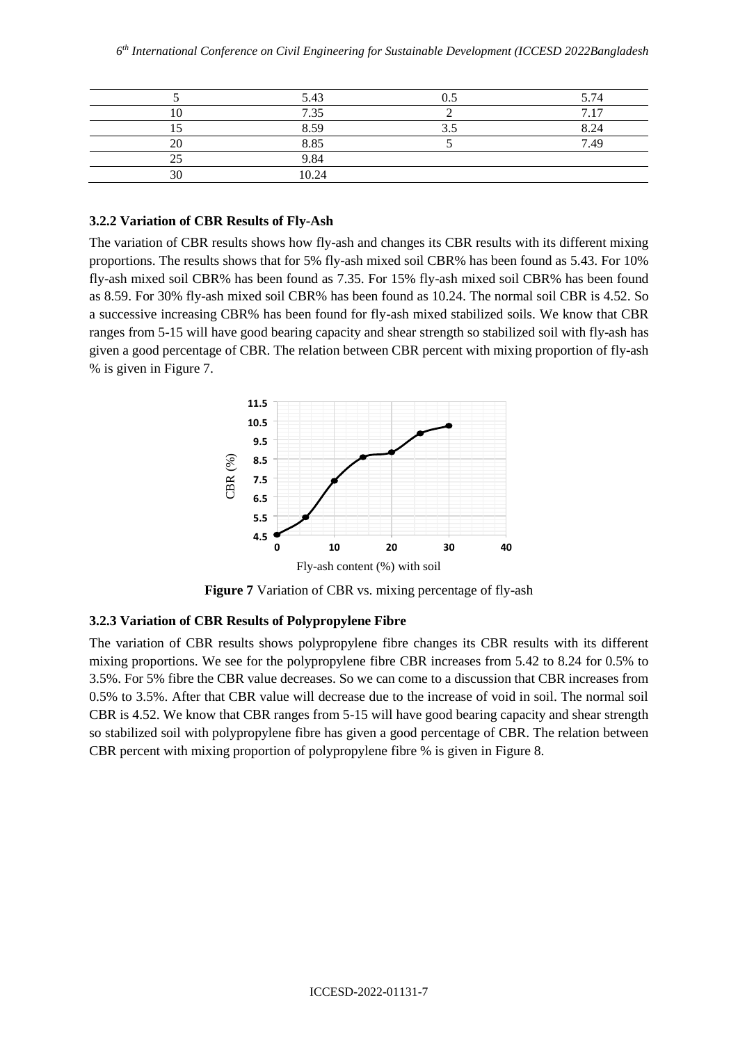|    | 5.43  | 5.74                |
|----|-------|---------------------|
|    | 7.35  | $\mathcal{L}$<br>17 |
|    | 8.59  | 8.24                |
| 20 | 8.85  | 7.49                |
|    | 9.84  |                     |
| 30 | 10.24 |                     |

#### **3.2.2 Variation of CBR Results of Fly-Ash**

The variation of CBR results shows how fly-ash and changes its CBR results with its different mixing proportions. The results shows that for 5% fly-ash mixed soil CBR% has been found as 5.43. For 10% fly-ash mixed soil CBR% has been found as 7.35. For 15% fly-ash mixed soil CBR% has been found as 8.59. For 30% fly-ash mixed soil CBR% has been found as 10.24. The normal soil CBR is 4.52. So a successive increasing CBR% has been found for fly-ash mixed stabilized soils. We know that CBR ranges from 5-15 will have good bearing capacity and shear strength so stabilized soil with fly-ash has given a good percentage of CBR. The relation between CBR percent with mixing proportion of fly-ash % is given in Figure 7.



**Figure 7** Variation of CBR vs. mixing percentage of fly-ash

## **3.2.3 Variation of CBR Results of Polypropylene Fibre**

The variation of CBR results shows polypropylene fibre changes its CBR results with its different mixing proportions. We see for the polypropylene fibre CBR increases from 5.42 to 8.24 for 0.5% to 3.5%. For 5% fibre the CBR value decreases. So we can come to a discussion that CBR increases from 0.5% to 3.5%. After that CBR value will decrease due to the increase of void in soil. The normal soil CBR is 4.52. We know that CBR ranges from 5-15 will have good bearing capacity and shear strength so stabilized soil with polypropylene fibre has given a good percentage of CBR. The relation between CBR percent with mixing proportion of polypropylene fibre % is given in Figure 8.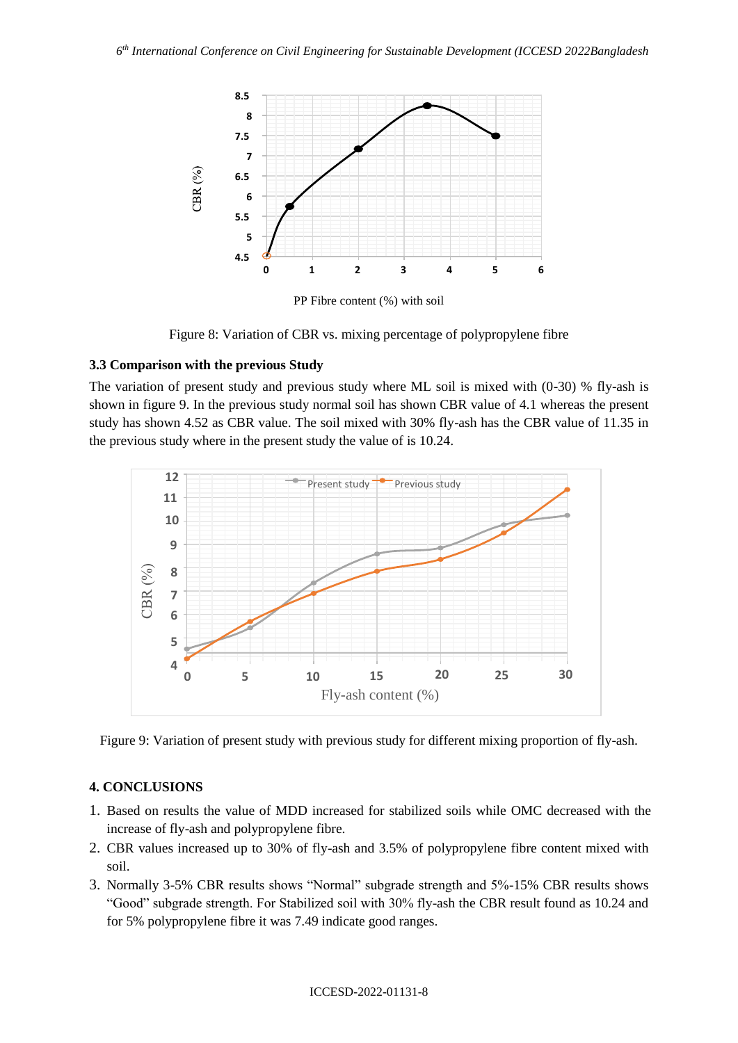

PP Fibre content (%) with soil

Figure 8: Variation of CBR vs. mixing percentage of polypropylene fibre

# **3.3 Comparison with the previous Study**

The variation of present study and previous study where ML soil is mixed with (0-30) % fly-ash is shown in figure 9. In the previous study normal soil has shown CBR value of 4.1 whereas the present study has shown 4.52 as CBR value. The soil mixed with 30% fly-ash has the CBR value of 11.35 in the previous study where in the present study the value of is 10.24.



Figure 9: Variation of present study with previous study for different mixing proportion of fly-ash.

# **4. CONCLUSIONS**

- 1. Based on results the value of MDD increased for stabilized soils while OMC decreased with the increase of fly-ash and polypropylene fibre.
- 2. CBR values increased up to 30% of fly-ash and 3.5% of polypropylene fibre content mixed with soil.
- 3. Normally 3-5% CBR results shows "Normal" subgrade strength and 5%-15% CBR results shows "Good" subgrade strength. For Stabilized soil with 30% fly-ash the CBR result found as 10.24 and for 5% polypropylene fibre it was 7.49 indicate good ranges.